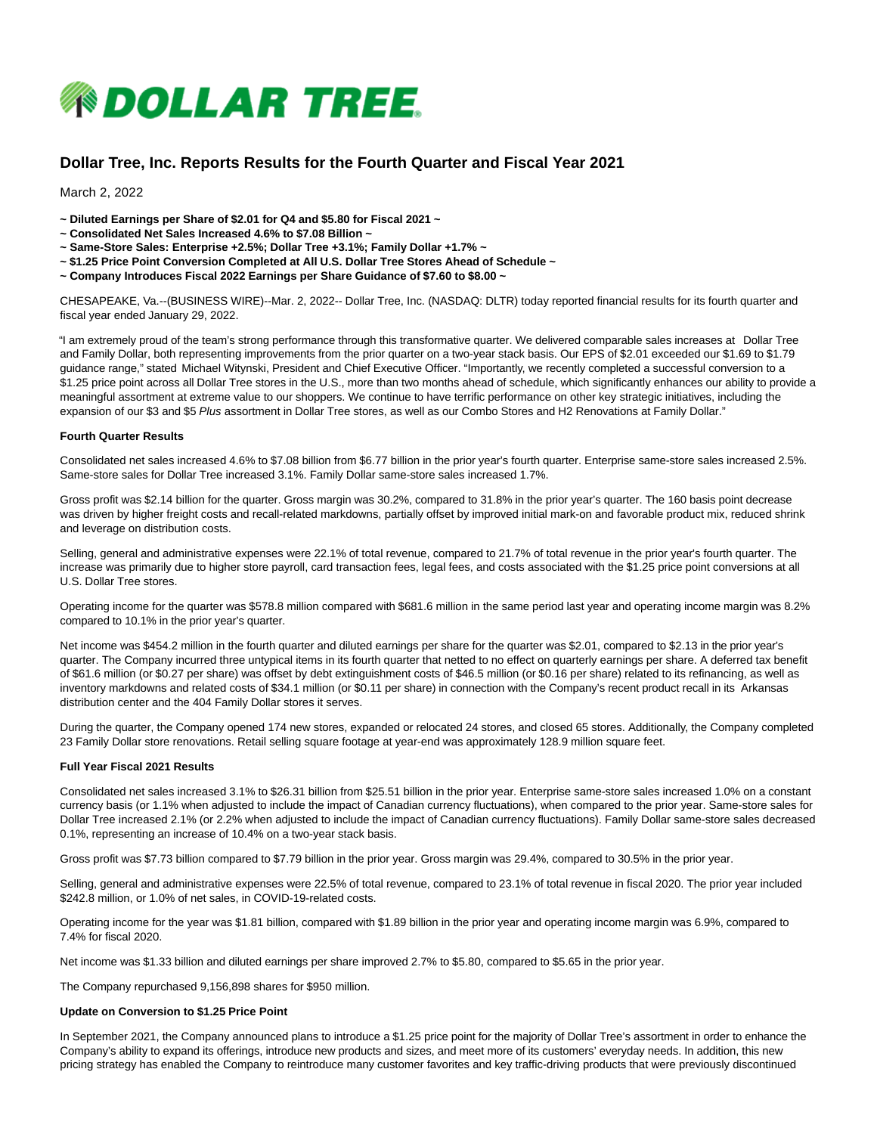

# **Dollar Tree, Inc. Reports Results for the Fourth Quarter and Fiscal Year 2021**

### March 2, 2022

- **~ Diluted Earnings per Share of \$2.01 for Q4 and \$5.80 for Fiscal 2021 ~**
- **~ Consolidated Net Sales Increased 4.6% to \$7.08 Billion ~**
- **~ Same-Store Sales: Enterprise +2.5%; Dollar Tree +3.1%; Family Dollar +1.7% ~**
- **~ \$1.25 Price Point Conversion Completed at All U.S. Dollar Tree Stores Ahead of Schedule ~**
- **~ Company Introduces Fiscal 2022 Earnings per Share Guidance of \$7.60 to \$8.00 ~**

CHESAPEAKE, Va.--(BUSINESS WIRE)--Mar. 2, 2022-- Dollar Tree, Inc. (NASDAQ: DLTR) today reported financial results for its fourth quarter and fiscal year ended January 29, 2022.

"I am extremely proud of the team's strong performance through this transformative quarter. We delivered comparable sales increases at Dollar Tree and Family Dollar, both representing improvements from the prior quarter on a two-year stack basis. Our EPS of \$2.01 exceeded our \$1.69 to \$1.79 guidance range," stated Michael Witynski, President and Chief Executive Officer. "Importantly, we recently completed a successful conversion to a \$1.25 price point across all Dollar Tree stores in the U.S., more than two months ahead of schedule, which significantly enhances our ability to provide a meaningful assortment at extreme value to our shoppers. We continue to have terrific performance on other key strategic initiatives, including the expansion of our \$3 and \$5 Plus assortment in Dollar Tree stores, as well as our Combo Stores and H2 Renovations at Family Dollar."

### **Fourth Quarter Results**

Consolidated net sales increased 4.6% to \$7.08 billion from \$6.77 billion in the prior year's fourth quarter. Enterprise same-store sales increased 2.5%. Same-store sales for Dollar Tree increased 3.1%. Family Dollar same-store sales increased 1.7%.

Gross profit was \$2.14 billion for the quarter. Gross margin was 30.2%, compared to 31.8% in the prior year's quarter. The 160 basis point decrease was driven by higher freight costs and recall-related markdowns, partially offset by improved initial mark-on and favorable product mix, reduced shrink and leverage on distribution costs.

Selling, general and administrative expenses were 22.1% of total revenue, compared to 21.7% of total revenue in the prior year's fourth quarter. The increase was primarily due to higher store payroll, card transaction fees, legal fees, and costs associated with the \$1.25 price point conversions at all U.S. Dollar Tree stores.

Operating income for the quarter was \$578.8 million compared with \$681.6 million in the same period last year and operating income margin was 8.2% compared to 10.1% in the prior year's quarter.

Net income was \$454.2 million in the fourth quarter and diluted earnings per share for the quarter was \$2.01, compared to \$2.13 in the prior year's quarter. The Company incurred three untypical items in its fourth quarter that netted to no effect on quarterly earnings per share. A deferred tax benefit of \$61.6 million (or \$0.27 per share) was offset by debt extinguishment costs of \$46.5 million (or \$0.16 per share) related to its refinancing, as well as inventory markdowns and related costs of \$34.1 million (or \$0.11 per share) in connection with the Company's recent product recall in its Arkansas distribution center and the 404 Family Dollar stores it serves.

During the quarter, the Company opened 174 new stores, expanded or relocated 24 stores, and closed 65 stores. Additionally, the Company completed 23 Family Dollar store renovations. Retail selling square footage at year-end was approximately 128.9 million square feet.

#### **Full Year Fiscal 2021 Results**

Consolidated net sales increased 3.1% to \$26.31 billion from \$25.51 billion in the prior year. Enterprise same-store sales increased 1.0% on a constant currency basis (or 1.1% when adjusted to include the impact of Canadian currency fluctuations), when compared to the prior year. Same-store sales for Dollar Tree increased 2.1% (or 2.2% when adjusted to include the impact of Canadian currency fluctuations). Family Dollar same-store sales decreased 0.1%, representing an increase of 10.4% on a two-year stack basis.

Gross profit was \$7.73 billion compared to \$7.79 billion in the prior year. Gross margin was 29.4%, compared to 30.5% in the prior year.

Selling, general and administrative expenses were 22.5% of total revenue, compared to 23.1% of total revenue in fiscal 2020. The prior year included \$242.8 million, or 1.0% of net sales, in COVID-19-related costs.

Operating income for the year was \$1.81 billion, compared with \$1.89 billion in the prior year and operating income margin was 6.9%, compared to 7.4% for fiscal 2020.

Net income was \$1.33 billion and diluted earnings per share improved 2.7% to \$5.80, compared to \$5.65 in the prior year.

The Company repurchased 9,156,898 shares for \$950 million.

#### **Update on Conversion to \$1.25 Price Point**

In September 2021, the Company announced plans to introduce a \$1.25 price point for the majority of Dollar Tree's assortment in order to enhance the Company's ability to expand its offerings, introduce new products and sizes, and meet more of its customers' everyday needs. In addition, this new pricing strategy has enabled the Company to reintroduce many customer favorites and key traffic-driving products that were previously discontinued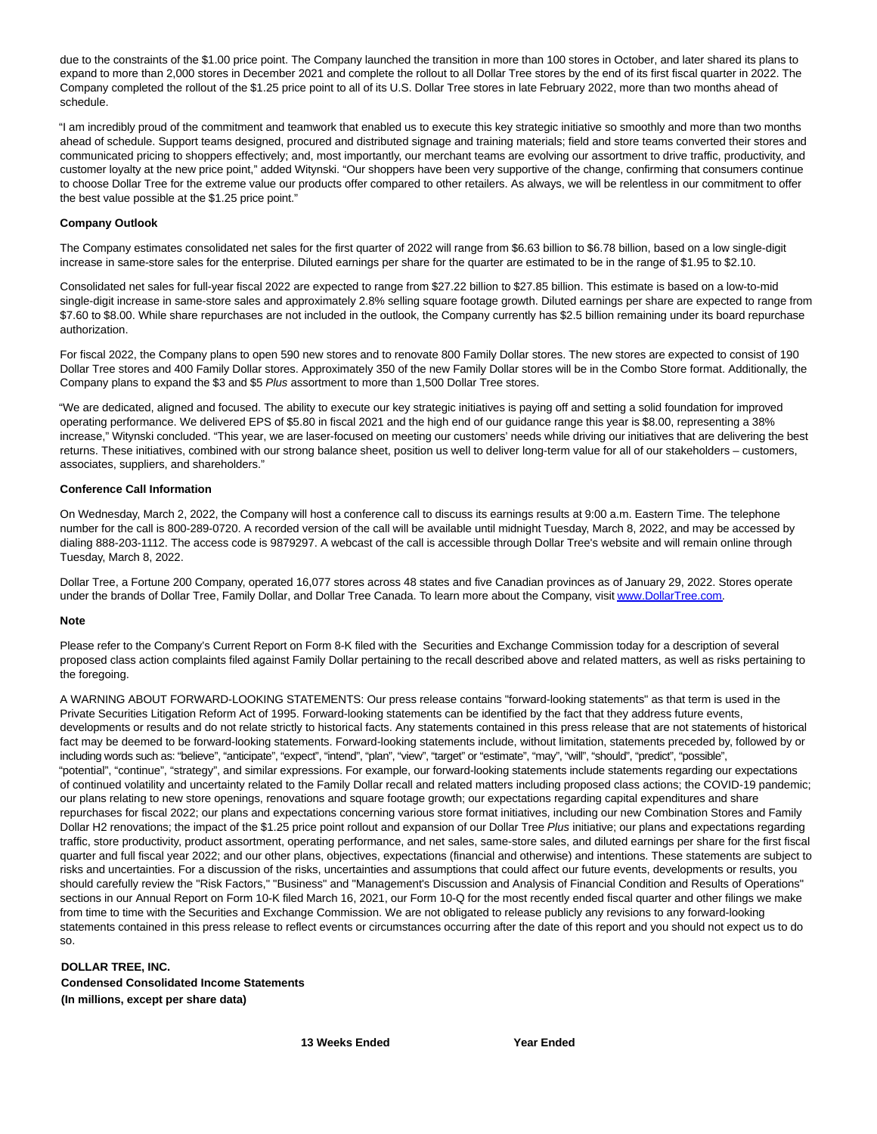due to the constraints of the \$1.00 price point. The Company launched the transition in more than 100 stores in October, and later shared its plans to expand to more than 2,000 stores in December 2021 and complete the rollout to all Dollar Tree stores by the end of its first fiscal quarter in 2022. The Company completed the rollout of the \$1.25 price point to all of its U.S. Dollar Tree stores in late February 2022, more than two months ahead of schedule.

"I am incredibly proud of the commitment and teamwork that enabled us to execute this key strategic initiative so smoothly and more than two months ahead of schedule. Support teams designed, procured and distributed signage and training materials; field and store teams converted their stores and communicated pricing to shoppers effectively; and, most importantly, our merchant teams are evolving our assortment to drive traffic, productivity, and customer loyalty at the new price point," added Witynski. "Our shoppers have been very supportive of the change, confirming that consumers continue to choose Dollar Tree for the extreme value our products offer compared to other retailers. As always, we will be relentless in our commitment to offer the best value possible at the \$1.25 price point."

### **Company Outlook**

The Company estimates consolidated net sales for the first quarter of 2022 will range from \$6.63 billion to \$6.78 billion, based on a low single-digit increase in same-store sales for the enterprise. Diluted earnings per share for the quarter are estimated to be in the range of \$1.95 to \$2.10.

Consolidated net sales for full-year fiscal 2022 are expected to range from \$27.22 billion to \$27.85 billion. This estimate is based on a low-to-mid single-digit increase in same-store sales and approximately 2.8% selling square footage growth. Diluted earnings per share are expected to range from \$7.60 to \$8.00. While share repurchases are not included in the outlook, the Company currently has \$2.5 billion remaining under its board repurchase authorization.

For fiscal 2022, the Company plans to open 590 new stores and to renovate 800 Family Dollar stores. The new stores are expected to consist of 190 Dollar Tree stores and 400 Family Dollar stores. Approximately 350 of the new Family Dollar stores will be in the Combo Store format. Additionally, the Company plans to expand the \$3 and \$5 Plus assortment to more than 1,500 Dollar Tree stores.

"We are dedicated, aligned and focused. The ability to execute our key strategic initiatives is paying off and setting a solid foundation for improved operating performance. We delivered EPS of \$5.80 in fiscal 2021 and the high end of our guidance range this year is \$8.00, representing a 38% increase," Witynski concluded. "This year, we are laser-focused on meeting our customers' needs while driving our initiatives that are delivering the best returns. These initiatives, combined with our strong balance sheet, position us well to deliver long-term value for all of our stakeholders – customers, associates, suppliers, and shareholders."

### **Conference Call Information**

On Wednesday, March 2, 2022, the Company will host a conference call to discuss its earnings results at 9:00 a.m. Eastern Time. The telephone number for the call is 800-289-0720. A recorded version of the call will be available until midnight Tuesday, March 8, 2022, and may be accessed by dialing 888-203-1112. The access code is 9879297. A webcast of the call is accessible through Dollar Tree's website and will remain online through Tuesday, March 8, 2022.

Dollar Tree, a Fortune 200 Company, operated 16,077 stores across 48 states and five Canadian provinces as of January 29, 2022. Stores operate under the brands of Dollar Tree, Family Dollar, and Dollar Tree Canada. To learn more about the Company, visi[t www.DollarTree.com.](https://cts.businesswire.com/ct/CT?id=smartlink&url=http%3A%2F%2Fwww.DollarTree.com&esheet=52587989&newsitemid=20220301006223&lan=en-US&anchor=www.DollarTree.com&index=1&md5=541ce88c77261d7caab49663db2383dd)

#### **Note**

Please refer to the Company's Current Report on Form 8-K filed with the Securities and Exchange Commission today for a description of several proposed class action complaints filed against Family Dollar pertaining to the recall described above and related matters, as well as risks pertaining to the foregoing.

A WARNING ABOUT FORWARD-LOOKING STATEMENTS: Our press release contains "forward-looking statements" as that term is used in the Private Securities Litigation Reform Act of 1995. Forward-looking statements can be identified by the fact that they address future events, developments or results and do not relate strictly to historical facts. Any statements contained in this press release that are not statements of historical fact may be deemed to be forward-looking statements. Forward-looking statements include, without limitation, statements preceded by, followed by or including words such as: "believe", "anticipate", "expect", "intend", "plan", "view", "target" or "estimate", "may", "will", "should", "predict", "possible", "potential", "continue", "strategy", and similar expressions. For example, our forward-looking statements include statements regarding our expectations of continued volatility and uncertainty related to the Family Dollar recall and related matters including proposed class actions; the COVID-19 pandemic; our plans relating to new store openings, renovations and square footage growth; our expectations regarding capital expenditures and share repurchases for fiscal 2022; our plans and expectations concerning various store format initiatives, including our new Combination Stores and Family Dollar H2 renovations; the impact of the \$1.25 price point rollout and expansion of our Dollar Tree Plus initiative; our plans and expectations regarding traffic, store productivity, product assortment, operating performance, and net sales, same-store sales, and diluted earnings per share for the first fiscal quarter and full fiscal year 2022; and our other plans, objectives, expectations (financial and otherwise) and intentions. These statements are subject to risks and uncertainties. For a discussion of the risks, uncertainties and assumptions that could affect our future events, developments or results, you should carefully review the "Risk Factors," "Business" and "Management's Discussion and Analysis of Financial Condition and Results of Operations" sections in our Annual Report on Form 10-K filed March 16, 2021, our Form 10-Q for the most recently ended fiscal quarter and other filings we make from time to time with the Securities and Exchange Commission. We are not obligated to release publicly any revisions to any forward-looking statements contained in this press release to reflect events or circumstances occurring after the date of this report and you should not expect us to do so.

## **DOLLAR TREE, INC. Condensed Consolidated Income Statements (In millions, except per share data)**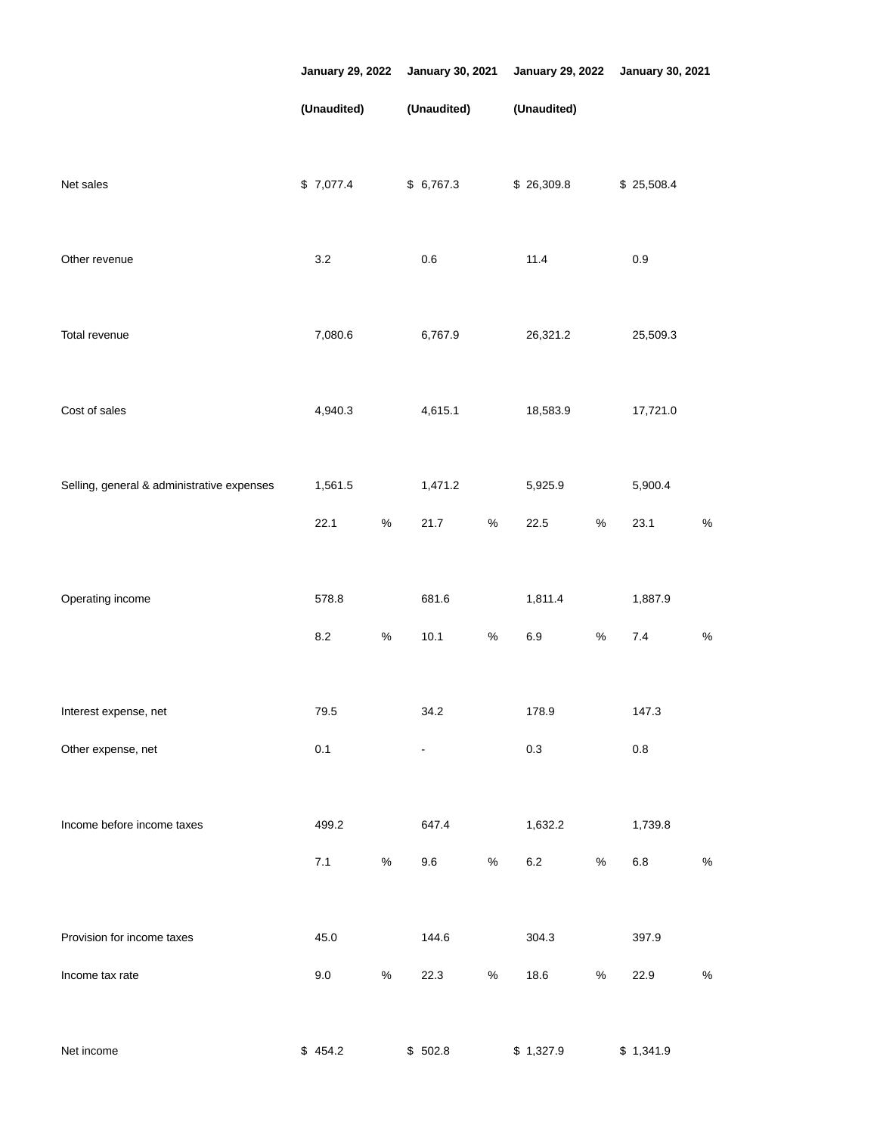|                                            | <b>January 29, 2022</b> |             | <b>January 30, 2021</b> |                | <b>January 29, 2022</b> |             | <b>January 30, 2021</b> |            |      |  |  |
|--------------------------------------------|-------------------------|-------------|-------------------------|----------------|-------------------------|-------------|-------------------------|------------|------|--|--|
|                                            |                         | (Unaudited) |                         | (Unaudited)    |                         | (Unaudited) |                         |            |      |  |  |
| Net sales                                  |                         | \$7,077.4   |                         | \$6,767.3      |                         | \$26,309.8  |                         | \$25,508.4 |      |  |  |
| Other revenue                              |                         | $3.2\,$     |                         | $0.6\,$        |                         | 11.4        |                         | $0.9\,$    |      |  |  |
| Total revenue                              |                         | 7,080.6     |                         | 6,767.9        |                         | 26,321.2    |                         | 25,509.3   |      |  |  |
| Cost of sales                              |                         | 4,940.3     |                         | 4,615.1        |                         | 18,583.9    |                         | 17,721.0   |      |  |  |
| Selling, general & administrative expenses |                         | 1,561.5     |                         | 1,471.2        |                         | 5,925.9     |                         | 5,900.4    |      |  |  |
|                                            |                         | 22.1        | $\%$                    | 21.7           | $\%$                    | 22.5        | $\%$                    | 23.1       | $\%$ |  |  |
| Operating income                           |                         | 578.8       |                         | 681.6          |                         | 1,811.4     |                         | 1,887.9    |      |  |  |
|                                            |                         | $8.2\,$     | $\%$                    | 10.1           | $\%$                    | $6.9\,$     | $\%$                    | $7.4$      | $\%$ |  |  |
| Interest expense, net                      |                         | 79.5        |                         | 34.2           |                         | 178.9       |                         | 147.3      |      |  |  |
| Other expense, net                         |                         | 0.1         |                         | $\blacksquare$ |                         | $0.3\,$     |                         | $0.8\,$    |      |  |  |
| Income before income taxes                 |                         | 499.2       |                         | 647.4          |                         | 1,632.2     |                         | 1,739.8    |      |  |  |
|                                            |                         | 7.1         | $\%$                    | 9.6            | $\%$                    | $6.2\,$     | $\%$                    | $6.8\,$    | $\%$ |  |  |
|                                            |                         |             |                         |                |                         |             |                         |            |      |  |  |
| Provision for income taxes                 |                         | 45.0        |                         | 144.6          |                         | 304.3       |                         | 397.9      |      |  |  |
| Income tax rate                            |                         | 9.0         | $\%$                    | 22.3           | $\%$                    | 18.6        | $\%$                    | 22.9       | $\%$ |  |  |
| Net income                                 |                         | \$454.2     |                         | \$502.8        |                         | \$1,327.9   |                         | \$1,341.9  |      |  |  |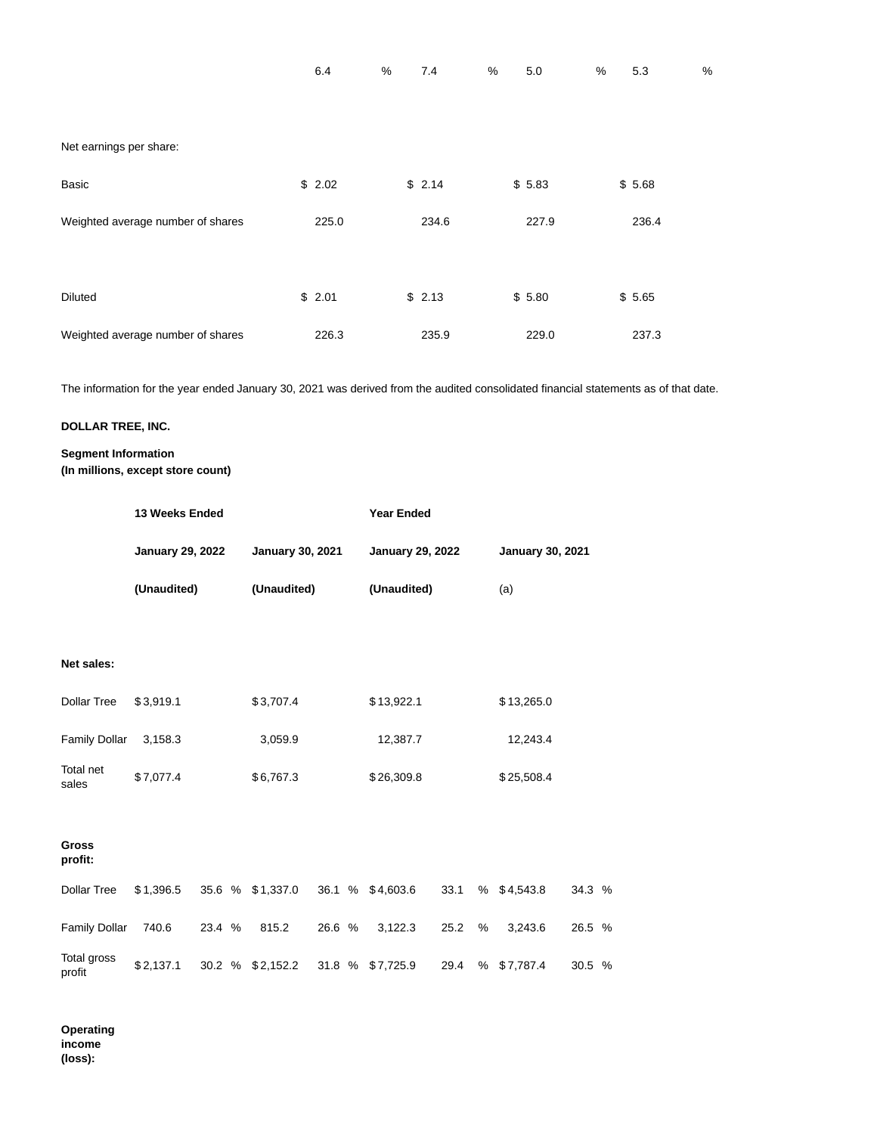| Net earnings per share:           |        |        |        |        |
|-----------------------------------|--------|--------|--------|--------|
| <b>Basic</b>                      | \$2.02 | \$2.14 | \$5.83 | \$5.68 |
| Weighted average number of shares | 225.0  | 234.6  | 227.9  | 236.4  |
|                                   |        |        |        |        |
| <b>Diluted</b>                    | \$2.01 | \$2.13 | \$5.80 | \$5.65 |
| Weighted average number of shares | 226.3  | 235.9  | 229.0  | 237.3  |

6.4 % 7.4 % 5.0 % 5.3 %

The information for the year ended January 30, 2021 was derived from the audited consolidated financial statements as of that date.

# **DOLLAR TREE, INC.**

# **Segment Information (In millions, except store count)**

|                       | 13 Weeks Ended          |        |             |                  |                         |             | <b>Year Ended</b> |                         |     |                         |        |  |  |  |
|-----------------------|-------------------------|--------|-------------|------------------|-------------------------|-------------|-------------------|-------------------------|-----|-------------------------|--------|--|--|--|
|                       | <b>January 29, 2022</b> |        |             |                  | <b>January 30, 2021</b> |             |                   | <b>January 29, 2022</b> |     | <b>January 30, 2021</b> |        |  |  |  |
|                       | (Unaudited)             |        | (Unaudited) |                  |                         | (Unaudited) |                   |                         | (a) |                         |        |  |  |  |
|                       |                         |        |             |                  |                         |             |                   |                         |     |                         |        |  |  |  |
| Net sales:            |                         |        |             |                  |                         |             |                   |                         |     |                         |        |  |  |  |
| <b>Dollar Tree</b>    | \$3,919.1               |        |             | \$3,707.4        |                         |             | \$13,922.1        |                         |     | \$13,265.0              |        |  |  |  |
| <b>Family Dollar</b>  | 3,158.3                 |        |             | 3,059.9          |                         |             | 12,387.7          |                         |     | 12,243.4                |        |  |  |  |
| Total net<br>sales    | \$7,077.4               |        |             | \$6,767.3        |                         |             | \$26,309.8        |                         |     | \$25,508.4              |        |  |  |  |
| <b>Gross</b>          |                         |        |             |                  |                         |             |                   |                         |     |                         |        |  |  |  |
| profit:               |                         |        |             |                  |                         |             |                   |                         |     |                         |        |  |  |  |
| <b>Dollar Tree</b>    | \$1,396.5               |        |             | 35.6 % \$1,337.0 |                         |             | 36.1 % \$4,603.6  | 33.1                    |     | % \$4,543.8             | 34.3 % |  |  |  |
| <b>Family Dollar</b>  | 740.6                   | 23.4 % |             | 815.2            | 26.6 %                  |             | 3,122.3           | 25.2                    | %   | 3,243.6                 | 26.5 % |  |  |  |
| Total gross<br>profit | \$2,137.1               |        |             | 30.2 % \$2,152.2 |                         |             | 31.8 % \$7,725.9  | 29.4                    | %   | \$7,787.4               | 30.5 % |  |  |  |

**Operating income (loss):**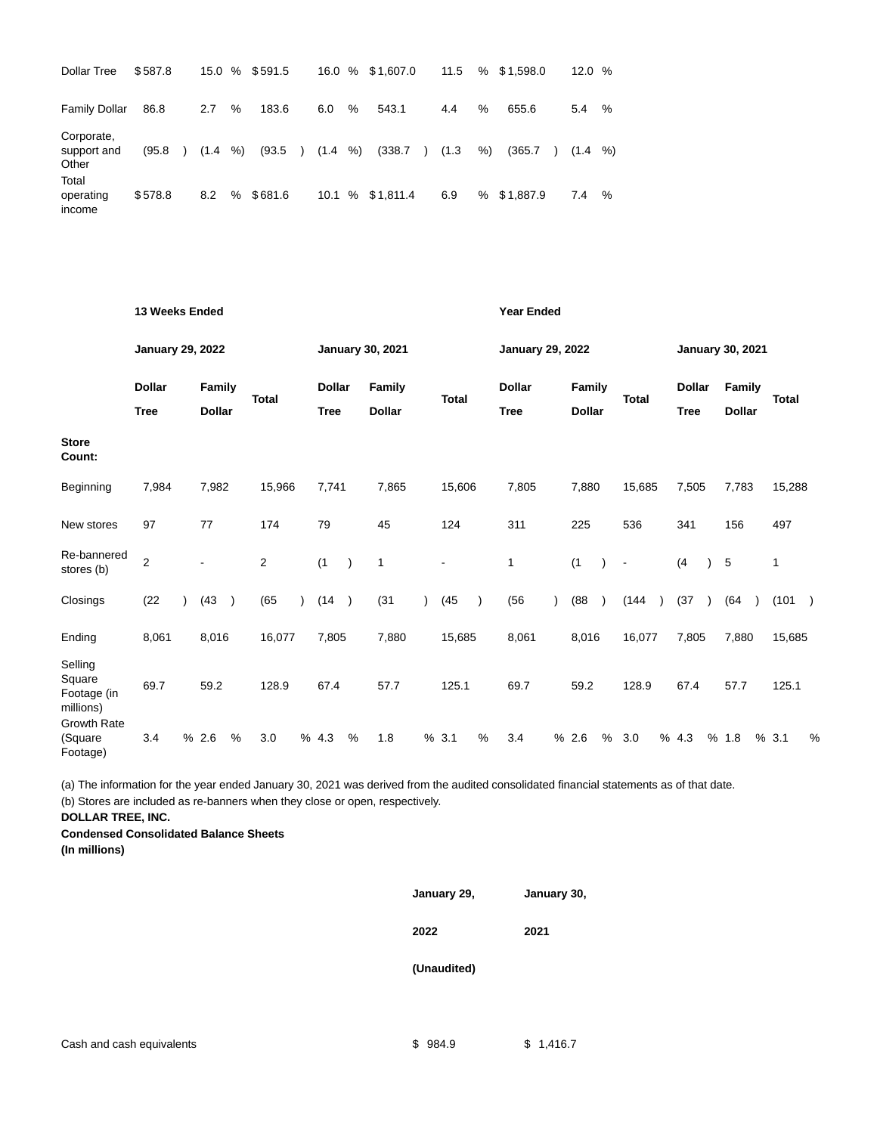| <b>Dollar Tree</b>                 | \$587.8 |               |             |   | 15.0 % \$591.5 |               |              |   | 16.0 % \$1,607.0         | 11.5  |    | $%$ \$1,598.0            | 12.0       | % |
|------------------------------------|---------|---------------|-------------|---|----------------|---------------|--------------|---|--------------------------|-------|----|--------------------------|------------|---|
| <b>Family Dollar</b>               | 86.8    |               | 2.7         | % | 183.6          |               | 6.0          | % | 543.1                    | 4.4   | %  | 655.6                    | 5.4        | % |
| Corporate,<br>support and<br>Other | (95.8)  | $\rightarrow$ | $(1.4 \t%)$ |   | (93.5)         | $\rightarrow$ | $(1.4 \t% )$ |   | (338.7)<br>$\rightarrow$ | (1.3) | %) | (365.7)<br>$\rightarrow$ | $(1.4 \t%$ |   |
| Total<br>operating<br>income       | \$578.8 |               | 8.2         | % | \$681.6        |               |              |   | 10.1 % \$1,811.4         | 6.9   |    | % \$1,887.9              | 7.4        | % |

|                                               |                                                                                                             | 13 Weeks Ended |       |               |              |                         |                              |               |                                |           | <b>Year Ended</b> |                         |                              |  |                                |           |                |                         |                              |  |                         |  |              |               |
|-----------------------------------------------|-------------------------------------------------------------------------------------------------------------|----------------|-------|---------------|--------------|-------------------------|------------------------------|---------------|--------------------------------|-----------|-------------------|-------------------------|------------------------------|--|--------------------------------|-----------|----------------|-------------------------|------------------------------|--|-------------------------|--|--------------|---------------|
|                                               | <b>January 29, 2022</b><br><b>Dollar</b><br><b>Family</b><br><b>Dollar</b><br><b>Tree</b><br>7,982<br>7,984 |                |       |               |              | <b>January 30, 2021</b> |                              |               |                                |           |                   | <b>January 29, 2022</b> |                              |  |                                |           |                | <b>January 30, 2021</b> |                              |  |                         |  |              |               |
|                                               |                                                                                                             |                |       |               | <b>Total</b> |                         | <b>Dollar</b><br><b>Tree</b> |               | <b>Family</b><br><b>Dollar</b> |           | <b>Total</b>      |                         | <b>Dollar</b><br><b>Tree</b> |  | <b>Family</b><br><b>Dollar</b> |           | <b>Total</b>   |                         | <b>Dollar</b><br><b>Tree</b> |  | Family<br><b>Dollar</b> |  | <b>Total</b> |               |
| <b>Store</b><br>Count:                        |                                                                                                             |                |       |               |              |                         |                              |               |                                |           |                   |                         |                              |  |                                |           |                |                         |                              |  |                         |  |              |               |
| Beginning                                     |                                                                                                             |                |       |               | 15,966       |                         | 7,741                        |               | 7,865                          |           | 15,606            |                         | 7,805                        |  | 7,880                          |           | 15,685         |                         | 7,505                        |  | 7,783                   |  | 15,288       |               |
| New stores                                    | 97                                                                                                          |                | 77    |               | 174          |                         | 79                           |               | 45                             |           | 124               |                         | 311                          |  | 225                            |           | 536            |                         | 341                          |  | 156                     |  | 497          |               |
| Re-bannered<br>stores (b)                     | $\overline{2}$                                                                                              |                |       |               | 2            |                         | (1)                          |               | $\mathbf{1}$                   |           | $\blacksquare$    |                         | 1                            |  | (1)                            |           | $\blacksquare$ |                         | (4)                          |  | 5                       |  | 1            |               |
| Closings                                      | (22)                                                                                                        |                | (43)  | $\lambda$     | (65)         | $\lambda$               | (14)                         | $\rightarrow$ | (31)                           | $\lambda$ | (45)              |                         | (56)                         |  | (88)                           | $\lambda$ | (144)          |                         | (37)                         |  | (64)                    |  | (101)        | $\rightarrow$ |
| Ending                                        | 8,061                                                                                                       |                | 8,016 |               | 16,077       |                         | 7,805                        |               | 7,880                          |           | 15,685            |                         | 8,061                        |  | 8,016                          |           | 16,077         |                         | 7,805                        |  | 7,880                   |  | 15,685       |               |
| Selling<br>Square<br>Footage (in<br>millions) | 69.7                                                                                                        |                | 59.2  |               | 128.9        |                         | 67.4                         |               | 57.7                           |           | 125.1             |                         | 69.7                         |  | 59.2                           |           | 128.9          |                         | 67.4                         |  | 57.7                    |  | 125.1        |               |
| <b>Growth Rate</b><br>(Square<br>Footage)     | 3.4                                                                                                         |                | % 2.6 | $\frac{0}{0}$ | 3.0          |                         | % 4.3                        | %             | 1.8                            |           | % 3.1             | %                       | 3.4                          |  | % 2.6                          | %         | 3.0            |                         | % 4.3                        |  | % 1.8                   |  | % 3.1        | %             |

(a) The information for the year ended January 30, 2021 was derived from the audited consolidated financial statements as of that date. (b) Stores are included as re-banners when they close or open, respectively.

**DOLLAR TREE, INC.**

**Condensed Consolidated Balance Sheets**

**(In millions)**

**January 29, January 30,**

**2022 2021**

**(Unaudited)**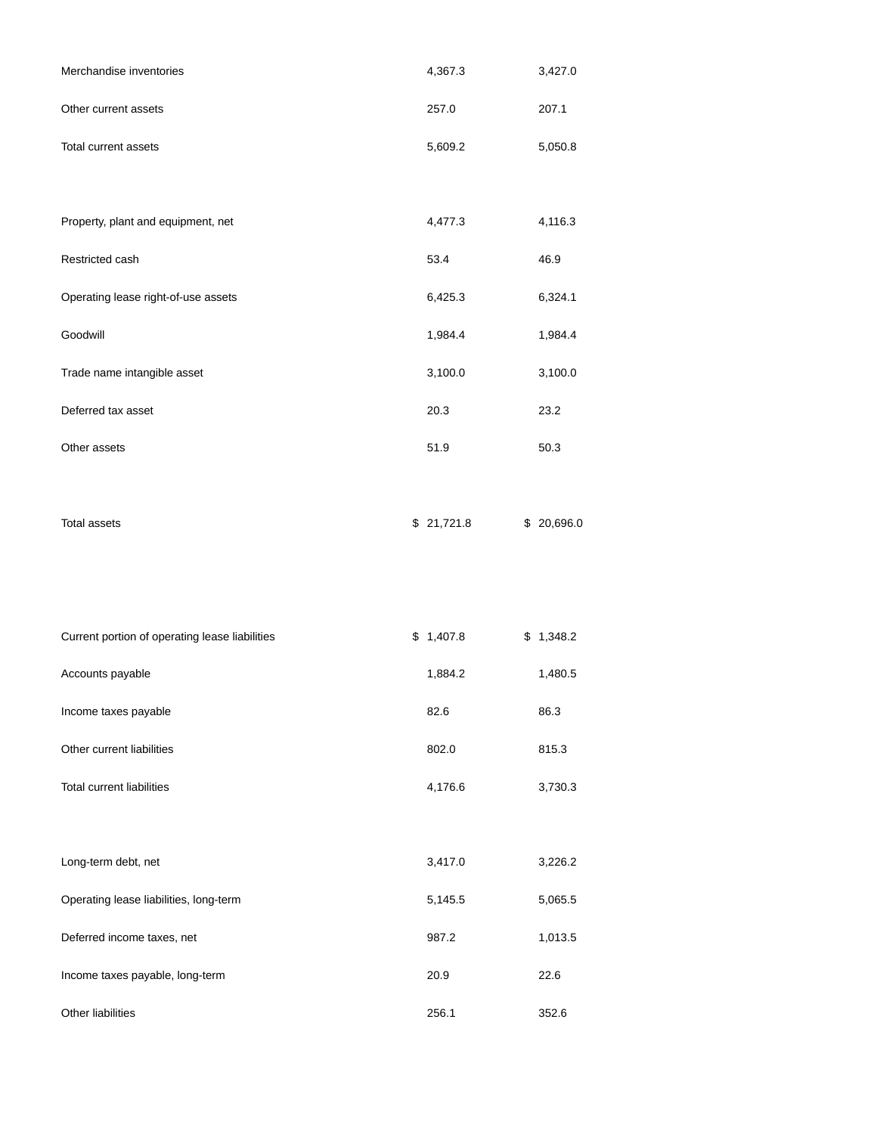| Merchandise inventories                        | 4,367.3    | 3,427.0    |
|------------------------------------------------|------------|------------|
| Other current assets                           | 257.0      | 207.1      |
| Total current assets                           | 5,609.2    | 5,050.8    |
|                                                |            |            |
| Property, plant and equipment, net             | 4,477.3    | 4,116.3    |
| Restricted cash                                | 53.4       | 46.9       |
| Operating lease right-of-use assets            | 6,425.3    | 6,324.1    |
| Goodwill                                       | 1,984.4    | 1,984.4    |
| Trade name intangible asset                    | 3,100.0    | 3,100.0    |
| Deferred tax asset                             | 20.3       | 23.2       |
| Other assets                                   | 51.9       | 50.3       |
|                                                |            |            |
| <b>Total assets</b>                            | \$21,721.8 | \$20,696.0 |
|                                                |            |            |
|                                                |            |            |
| Current portion of operating lease liabilities | \$1,407.8  | \$1,348.2  |
| Accounts payable                               | 1,884.2    | 1,480.5    |
| Income taxes payable                           | 82.6       | 86.3       |
| Other current liabilities                      | 802.0      | 815.3      |
| <b>Total current liabilities</b>               | 4,176.6    | 3,730.3    |
|                                                |            |            |
| Long-term debt, net                            | 3,417.0    | 3,226.2    |
| Operating lease liabilities, long-term         | 5,145.5    | 5,065.5    |
| Deferred income taxes, net                     | 987.2      | 1,013.5    |
| Income taxes payable, long-term                | 20.9       | 22.6       |

Other liabilities 256.1 352.6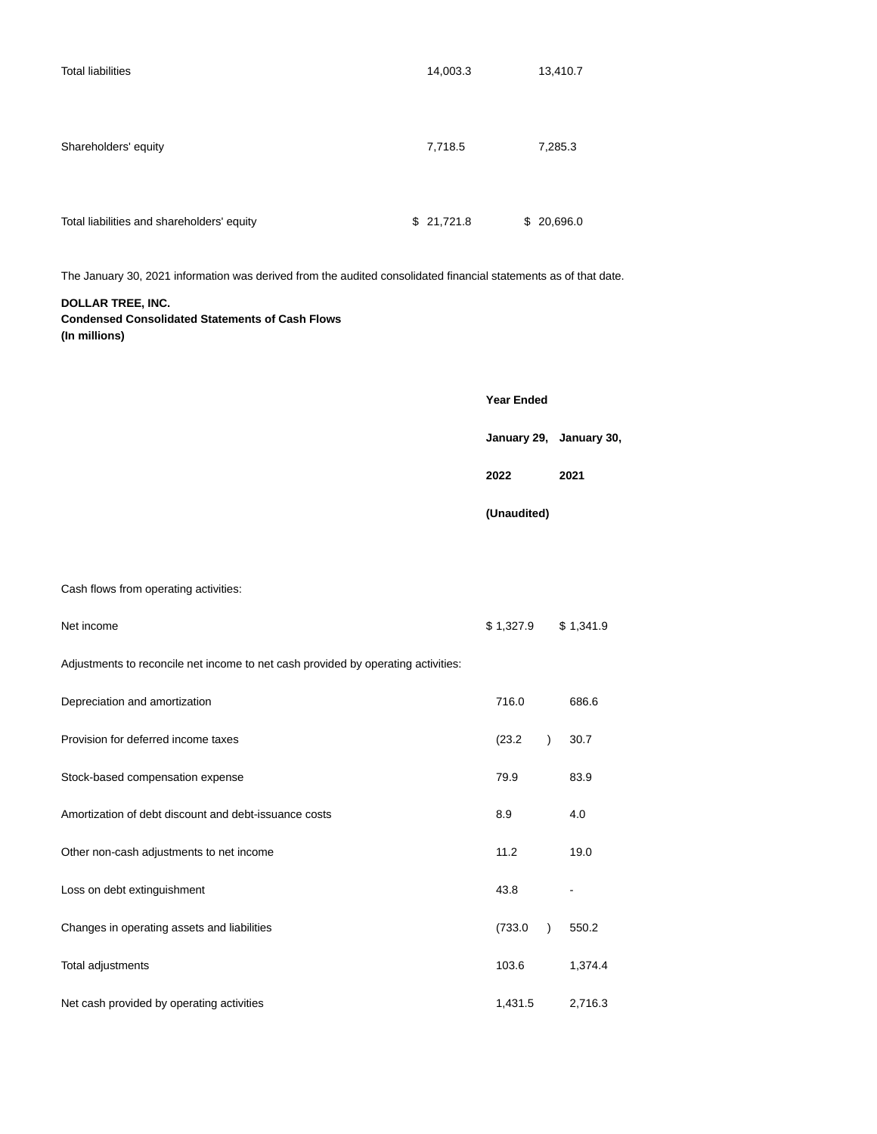| <b>Total liabilities</b>                                                                                         | 14,003.3   |                      | 13,410.7                |  |  |  |
|------------------------------------------------------------------------------------------------------------------|------------|----------------------|-------------------------|--|--|--|
|                                                                                                                  |            |                      |                         |  |  |  |
| Shareholders' equity                                                                                             | 7,718.5    |                      | 7,285.3                 |  |  |  |
|                                                                                                                  |            |                      |                         |  |  |  |
| Total liabilities and shareholders' equity                                                                       | \$21,721.8 | \$20,696.0           |                         |  |  |  |
| The January 30, 2021 information was derived from the audited consolidated financial statements as of that date. |            |                      |                         |  |  |  |
| DOLLAR TREE, INC.<br><b>Condensed Consolidated Statements of Cash Flows</b><br>(In millions)                     |            |                      |                         |  |  |  |
|                                                                                                                  |            |                      |                         |  |  |  |
|                                                                                                                  |            | Year Ended           | January 29, January 30, |  |  |  |
|                                                                                                                  |            | 2022                 | 2021                    |  |  |  |
|                                                                                                                  |            | (Unaudited)          |                         |  |  |  |
|                                                                                                                  |            |                      |                         |  |  |  |
| Cash flows from operating activities:                                                                            |            |                      |                         |  |  |  |
| Net income                                                                                                       |            | \$1,327.9            | \$1,341.9               |  |  |  |
| Adjustments to reconcile net income to net cash provided by operating activities:                                |            |                      |                         |  |  |  |
| Depreciation and amortization                                                                                    |            | 716.0                | 686.6                   |  |  |  |
| Provision for deferred income taxes                                                                              |            | (23.2)<br>$\lambda$  | 30.7                    |  |  |  |
| Stock-based compensation expense                                                                                 |            | 79.9                 | 83.9                    |  |  |  |
| Amortization of debt discount and debt-issuance costs                                                            |            | 8.9                  | 4.0                     |  |  |  |
| Other non-cash adjustments to net income                                                                         |            | 11.2                 | 19.0                    |  |  |  |
| Loss on debt extinguishment                                                                                      |            | 43.8                 |                         |  |  |  |
| Changes in operating assets and liabilities                                                                      |            | (733.0)<br>$\lambda$ | 550.2                   |  |  |  |
| Total adjustments                                                                                                |            | 103.6                | 1,374.4                 |  |  |  |
| Net cash provided by operating activities                                                                        |            | 1,431.5              | 2,716.3                 |  |  |  |